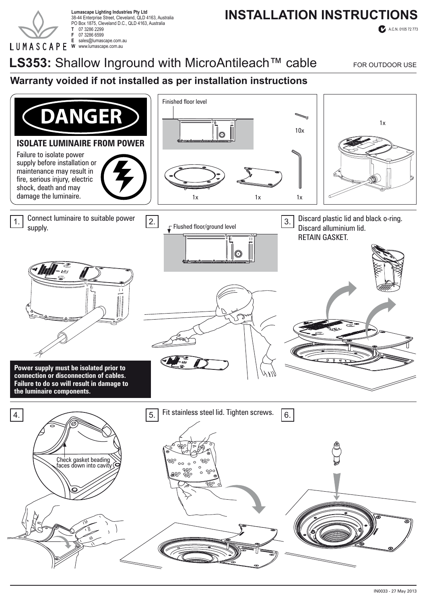

38-44 Enterprise Street, Cleveland, QLD 4163, Australia PO Box 1875, Cleveland D.C., QLD 4163, Australia **T** 07 3286 2299 **F** 07 3286 6599 **E** sales@lumascape.com.au **W** www.lumascape.com.au

# Lumascape Lighting Industries Pty Ltd<br>38-44 Enterprise Street, Cleveland, OLD 4163, Australia **Lumascape Lighting industries Pty Ltd**

A.C.N. 0105 72 773

LS353: Shallow Inground with MicroAntileach<sup>™</sup> cable FOR OUTDOOR USE

### **Warranty voided if not installed as per installation instructions**